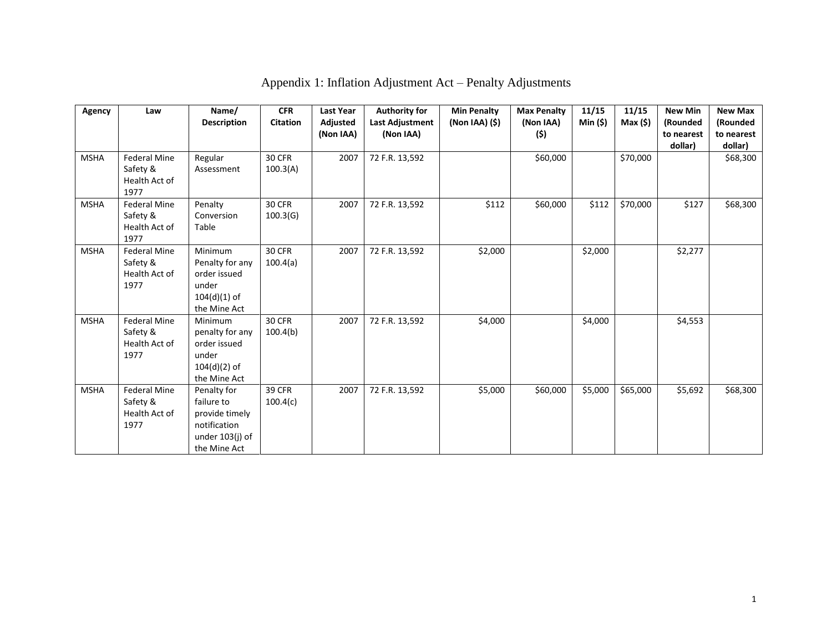| Agency      | Law                                                      | Name/<br><b>Description</b>                                                                    | <b>CFR</b><br><b>Citation</b> | <b>Last Year</b><br>Adjusted<br>(Non IAA) | <b>Authority for</b><br><b>Last Adjustment</b><br>(Non IAA) | <b>Min Penalty</b><br>$(Non IAA)$ $(\$)$ | <b>Max Penalty</b><br>(Non IAA)<br>(\$) | 11/15<br>Min (\$) | 11/15<br>Max(5) | <b>New Min</b><br>(Rounded<br>to nearest<br>dollar) | <b>New Max</b><br>(Rounded<br>to nearest<br>dollar) |
|-------------|----------------------------------------------------------|------------------------------------------------------------------------------------------------|-------------------------------|-------------------------------------------|-------------------------------------------------------------|------------------------------------------|-----------------------------------------|-------------------|-----------------|-----------------------------------------------------|-----------------------------------------------------|
| <b>MSHA</b> | <b>Federal Mine</b><br>Safety &<br>Health Act of<br>1977 | Regular<br>Assessment                                                                          | 30 CFR<br>100.3(A)            | 2007                                      | 72 F.R. 13,592                                              |                                          | \$60,000                                |                   | \$70,000        |                                                     | \$68,300                                            |
| <b>MSHA</b> | <b>Federal Mine</b><br>Safety &<br>Health Act of<br>1977 | Penalty<br>Conversion<br>Table                                                                 | 30 CFR<br>100.3(G)            | 2007                                      | 72 F.R. 13,592                                              | \$112                                    | \$60,000                                | \$112             | \$70,000        | \$127                                               | \$68,300                                            |
| <b>MSHA</b> | <b>Federal Mine</b><br>Safety &<br>Health Act of<br>1977 | Minimum<br>Penalty for any<br>order issued<br>under<br>$104(d)(1)$ of<br>the Mine Act          | 30 CFR<br>100.4(a)            | 2007                                      | 72 F.R. 13,592                                              | \$2,000                                  |                                         | \$2,000           |                 | \$2,277                                             |                                                     |
| <b>MSHA</b> | <b>Federal Mine</b><br>Safety &<br>Health Act of<br>1977 | Minimum<br>penalty for any<br>order issued<br>under<br>$104(d)(2)$ of<br>the Mine Act          | <b>30 CFR</b><br>100.4(b)     | 2007                                      | 72 F.R. 13,592                                              | \$4,000                                  |                                         | \$4,000           |                 | \$4,553                                             |                                                     |
| <b>MSHA</b> | <b>Federal Mine</b><br>Safety &<br>Health Act of<br>1977 | Penalty for<br>failure to<br>provide timely<br>notification<br>under 103(j) of<br>the Mine Act | <b>39 CFR</b><br>100.4(c)     | 2007                                      | 72 F.R. 13,592                                              | \$5,000                                  | \$60,000                                | \$5,000           | \$65,000        | \$5,692                                             | \$68,300                                            |

## Appendix 1: Inflation Adjustment Act – Penalty Adjustments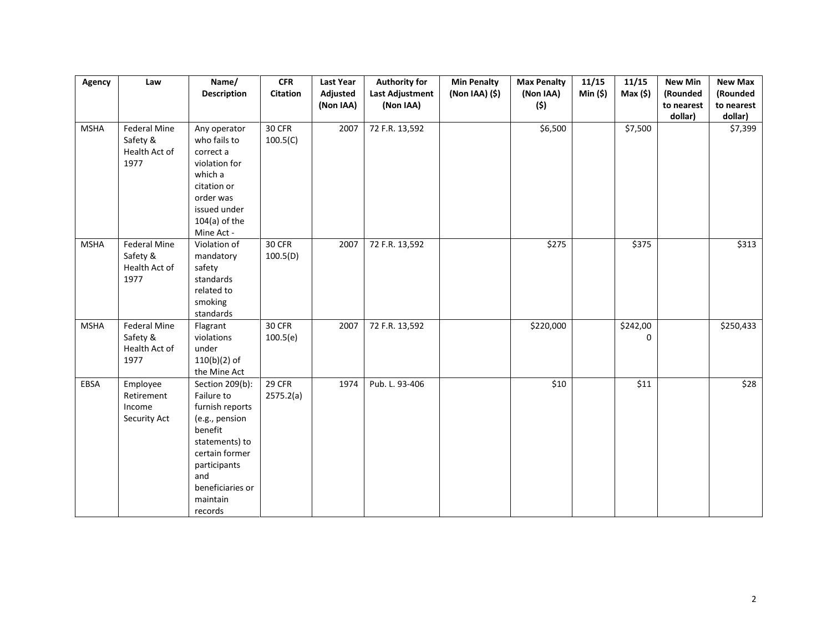| Agency      | Law                                                      | Name/                                                                                                                                                                               | CFR                 | <b>Last Year</b>      | <b>Authority for</b>                | <b>Min Penalty</b> | <b>Max Penalty</b> | 11/15  | 11/15         | <b>New Min</b>         | <b>New Max</b>         |
|-------------|----------------------------------------------------------|-------------------------------------------------------------------------------------------------------------------------------------------------------------------------------------|---------------------|-----------------------|-------------------------------------|--------------------|--------------------|--------|---------------|------------------------|------------------------|
|             |                                                          | <b>Description</b>                                                                                                                                                                  | Citation            | Adjusted<br>(Non IAA) | <b>Last Adjustment</b><br>(Non IAA) | (Non IAA) (\$)     | (Non IAA)<br>(\$)  | Min(5) | Max(5)        | (Rounded<br>to nearest | (Rounded<br>to nearest |
|             |                                                          |                                                                                                                                                                                     |                     |                       |                                     |                    |                    |        |               | dollar)                | dollar)                |
| <b>MSHA</b> | Federal Mine<br>Safety &<br>Health Act of<br>1977        | Any operator<br>who fails to<br>correct a<br>violation for<br>which a<br>citation or<br>order was<br>issued under<br>$104(a)$ of the<br>Mine Act -                                  | 30 CFR<br>100.5(C)  | 2007                  | 72 F.R. 13,592                      |                    | \$6,500            |        | \$7,500       |                        | \$7,399                |
| <b>MSHA</b> | <b>Federal Mine</b><br>Safety &<br>Health Act of<br>1977 | Violation of<br>mandatory<br>safety<br>standards<br>related to<br>smoking<br>standards                                                                                              | 30 CFR<br>100.5(D)  | 2007                  | 72 F.R. 13,592                      |                    | $\sqrt{275}$       |        | $\sqrt{375}$  |                        | \$313                  |
| <b>MSHA</b> | Federal Mine<br>Safety &<br>Health Act of<br>1977        | Flagrant<br>violations<br>under<br>$110(b)(2)$ of<br>the Mine Act                                                                                                                   | 30 CFR<br>100.5(e)  | 2007                  | 72 F.R. 13,592                      |                    | \$220,000          |        | \$242,00<br>0 |                        | \$250,433              |
| EBSA        | Employee<br>Retirement<br>Income<br>Security Act         | Section 209(b):<br>Failure to<br>furnish reports<br>(e.g., pension<br>benefit<br>statements) to<br>certain former<br>participants<br>and<br>beneficiaries or<br>maintain<br>records | 29 CFR<br>2575.2(a) | 1974                  | Pub. L. 93-406                      |                    | \$10               |        | \$11          |                        | \$28                   |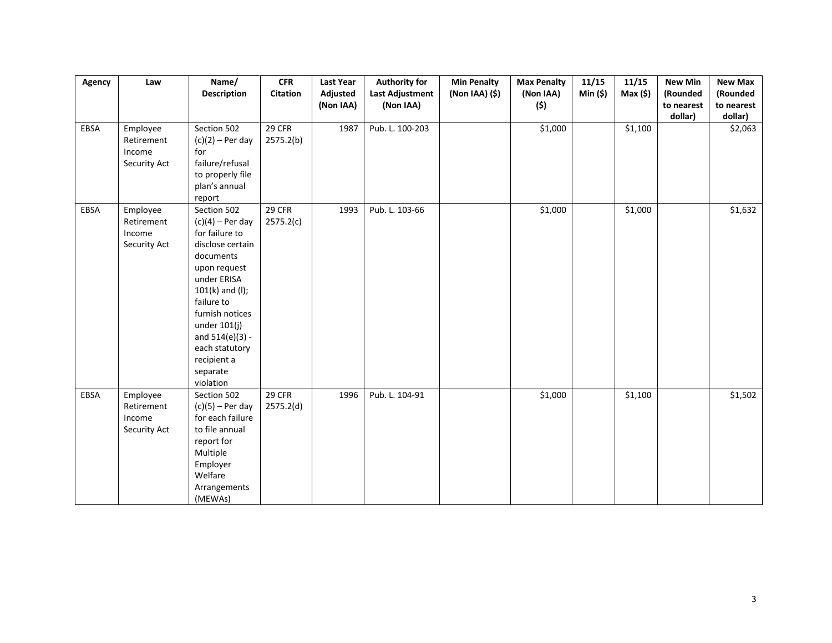| Agency | Law                                              | Name/<br><b>Description</b>                                                                                                                                                                                                                                                | <b>CFR</b><br><b>Citation</b> | <b>Last Year</b><br>Adjusted | <b>Authority for</b><br>Last Adjustment | <b>Min Penalty</b><br>(Non IAA) (\$) | <b>Max Penalty</b><br>(Non IAA) | 11/15<br>Min(5) | 11/15<br>Max(5)     | <b>New Min</b><br>(Rounded | <b>New Max</b><br>(Rounded |
|--------|--------------------------------------------------|----------------------------------------------------------------------------------------------------------------------------------------------------------------------------------------------------------------------------------------------------------------------------|-------------------------------|------------------------------|-----------------------------------------|--------------------------------------|---------------------------------|-----------------|---------------------|----------------------------|----------------------------|
|        |                                                  |                                                                                                                                                                                                                                                                            |                               | (Non IAA)                    | (Non IAA)                               |                                      | (\$)                            |                 |                     | to nearest                 | to nearest                 |
| EBSA   | Employee<br>Retirement<br>Income<br>Security Act | Section 502<br>$(c)(2)$ – Per day<br>for<br>failure/refusal<br>to properly file<br>plan's annual<br>report                                                                                                                                                                 | 29 CFR<br>2575.2(b)           | 1987                         | Pub. L. 100-203                         |                                      | \$1,000                         |                 | \$1,100             | dollar)                    | dollar)<br>\$2,063         |
| EBSA   | Employee<br>Retirement<br>Income<br>Security Act | Section 502<br>$(c)(4)$ – Per day<br>for failure to<br>disclose certain<br>documents<br>upon request<br>under ERISA<br>$101(k)$ and (I);<br>failure to<br>furnish notices<br>under $101(j)$<br>and $514(e)(3) -$<br>each statutory<br>recipient a<br>separate<br>violation | 29 CFR<br>2575.2(c)           | 1993                         | Pub. L. 103-66                          |                                      | \$1,000                         |                 | \$1,000             |                            | \$1,632                    |
| EBSA   | Employee<br>Retirement<br>Income<br>Security Act | Section 502<br>$(c)(5)$ – Per day<br>for each failure<br>to file annual<br>report for<br>Multiple<br>Employer<br>Welfare<br>Arrangements<br>(MEWAs)                                                                                                                        | 29 CFR<br>2575.2(d)           | 1996                         | Pub. L. 104-91                          |                                      | \$1,000                         |                 | $\overline{$}1,100$ |                            | \$1,502                    |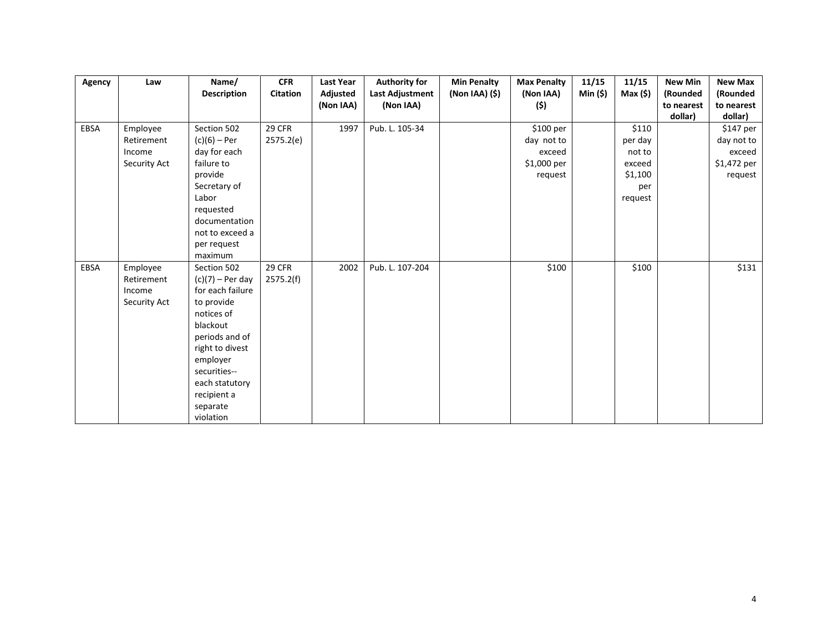| Agency | Law          | Name/                   | <b>CFR</b>      | Last Year | <b>Authority for</b> | <b>Min Penalty</b> | <b>Max Penalty</b> | 11/15    | 11/15    | <b>New Min</b> | <b>New Max</b> |
|--------|--------------|-------------------------|-----------------|-----------|----------------------|--------------------|--------------------|----------|----------|----------------|----------------|
|        |              | <b>Description</b>      | <b>Citation</b> | Adjusted  | Last Adjustment      | $(Non IAA)$ $(\$)$ | (Non IAA)          | Min (\$) | Max (\$) | (Rounded       | (Rounded       |
|        |              |                         |                 | (Non IAA) | (Non IAA)            |                    | (\$)               |          |          | to nearest     | to nearest     |
|        |              |                         |                 |           |                      |                    |                    |          |          | dollar)        | dollar)        |
| EBSA   | Employee     | Section 502             | 29 CFR          | 1997      | Pub. L. 105-34       |                    | \$100 per          |          | \$110    |                | \$147 per      |
|        | Retirement   | $(c)(6)$ – Per          | 2575.2(e)       |           |                      |                    | day not to         |          | per day  |                | day not to     |
|        | Income       | day for each            |                 |           |                      |                    | exceed             |          | not to   |                | exceed         |
|        | Security Act | failure to              |                 |           |                      |                    | \$1,000 per        |          | exceed   |                | \$1,472 per    |
|        |              | provide<br>Secretary of |                 |           |                      |                    | request            |          | \$1,100  |                | request        |
|        |              | Labor                   |                 |           |                      |                    |                    |          | per      |                |                |
|        |              | requested               |                 |           |                      |                    |                    |          | request  |                |                |
|        |              | documentation           |                 |           |                      |                    |                    |          |          |                |                |
|        |              | not to exceed a         |                 |           |                      |                    |                    |          |          |                |                |
|        |              | per request             |                 |           |                      |                    |                    |          |          |                |                |
|        |              | maximum                 |                 |           |                      |                    |                    |          |          |                |                |
| EBSA   | Employee     | Section 502             | <b>29 CFR</b>   | 2002      | Pub. L. 107-204      |                    | \$100              |          | \$100    |                | \$131          |
|        | Retirement   | $(c)(7)$ – Per day      | 2575.2(f)       |           |                      |                    |                    |          |          |                |                |
|        | Income       | for each failure        |                 |           |                      |                    |                    |          |          |                |                |
|        | Security Act | to provide              |                 |           |                      |                    |                    |          |          |                |                |
|        |              | notices of              |                 |           |                      |                    |                    |          |          |                |                |
|        |              | blackout                |                 |           |                      |                    |                    |          |          |                |                |
|        |              | periods and of          |                 |           |                      |                    |                    |          |          |                |                |
|        |              | right to divest         |                 |           |                      |                    |                    |          |          |                |                |
|        |              | employer                |                 |           |                      |                    |                    |          |          |                |                |
|        |              | securities--            |                 |           |                      |                    |                    |          |          |                |                |
|        |              | each statutory          |                 |           |                      |                    |                    |          |          |                |                |
|        |              | recipient a             |                 |           |                      |                    |                    |          |          |                |                |
|        |              | separate                |                 |           |                      |                    |                    |          |          |                |                |
|        |              | violation               |                 |           |                      |                    |                    |          |          |                |                |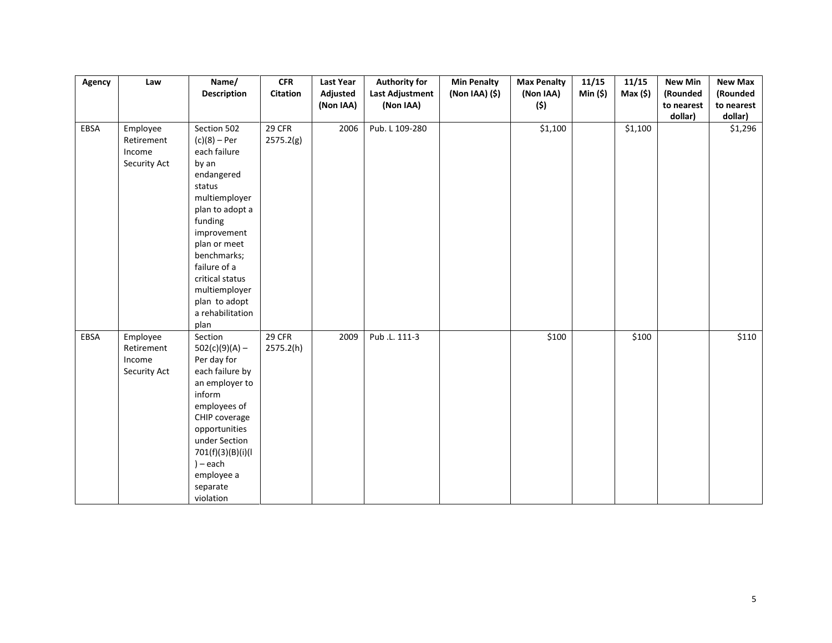| Agency | Law          | Name/                       | <b>CFR</b>      | <b>Last Year</b> | <b>Authority for</b>   | <b>Min Penalty</b> | <b>Max Penalty</b> | 11/15    | 11/15   | <b>New Min</b> | <b>New Max</b> |
|--------|--------------|-----------------------------|-----------------|------------------|------------------------|--------------------|--------------------|----------|---------|----------------|----------------|
|        |              | <b>Description</b>          | <b>Citation</b> | Adjusted         | <b>Last Adjustment</b> | (Non IAA) (\$)     | (Non IAA)          | Min (\$) | Max(5)  | (Rounded       | (Rounded       |
|        |              |                             |                 | (Non IAA)        | (Non IAA)              |                    | (\$)               |          |         | to nearest     | to nearest     |
|        |              |                             |                 |                  |                        |                    |                    |          |         | dollar)        | dollar)        |
| EBSA   | Employee     | Section 502                 | 29 CFR          | 2006             | Pub. L 109-280         |                    | \$1,100            |          | \$1,100 |                | \$1,296        |
|        | Retirement   | $(c)(8) - Per$              | 2575.2(g)       |                  |                        |                    |                    |          |         |                |                |
|        | Income       | each failure                |                 |                  |                        |                    |                    |          |         |                |                |
|        | Security Act | by an                       |                 |                  |                        |                    |                    |          |         |                |                |
|        |              | endangered                  |                 |                  |                        |                    |                    |          |         |                |                |
|        |              | status                      |                 |                  |                        |                    |                    |          |         |                |                |
|        |              | multiemployer               |                 |                  |                        |                    |                    |          |         |                |                |
|        |              | plan to adopt a             |                 |                  |                        |                    |                    |          |         |                |                |
|        |              | funding                     |                 |                  |                        |                    |                    |          |         |                |                |
|        |              | improvement                 |                 |                  |                        |                    |                    |          |         |                |                |
|        |              | plan or meet<br>benchmarks; |                 |                  |                        |                    |                    |          |         |                |                |
|        |              | failure of a                |                 |                  |                        |                    |                    |          |         |                |                |
|        |              | critical status             |                 |                  |                        |                    |                    |          |         |                |                |
|        |              | multiemployer               |                 |                  |                        |                    |                    |          |         |                |                |
|        |              | plan to adopt               |                 |                  |                        |                    |                    |          |         |                |                |
|        |              | a rehabilitation            |                 |                  |                        |                    |                    |          |         |                |                |
|        |              | plan                        |                 |                  |                        |                    |                    |          |         |                |                |
| EBSA   | Employee     | Section                     | 29 CFR          | 2009             | Pub .L. 111-3          |                    | \$100              |          | \$100   |                | \$110          |
|        | Retirement   | $502(c)(9)(A) -$            | 2575.2(h)       |                  |                        |                    |                    |          |         |                |                |
|        | Income       | Per day for                 |                 |                  |                        |                    |                    |          |         |                |                |
|        | Security Act | each failure by             |                 |                  |                        |                    |                    |          |         |                |                |
|        |              | an employer to              |                 |                  |                        |                    |                    |          |         |                |                |
|        |              | inform                      |                 |                  |                        |                    |                    |          |         |                |                |
|        |              | employees of                |                 |                  |                        |                    |                    |          |         |                |                |
|        |              | CHIP coverage               |                 |                  |                        |                    |                    |          |         |                |                |
|        |              | opportunities               |                 |                  |                        |                    |                    |          |         |                |                |
|        |              | under Section               |                 |                  |                        |                    |                    |          |         |                |                |
|        |              | 701(f)(3)(B)(i)(l           |                 |                  |                        |                    |                    |          |         |                |                |
|        |              | $) - each$                  |                 |                  |                        |                    |                    |          |         |                |                |
|        |              | employee a                  |                 |                  |                        |                    |                    |          |         |                |                |
|        |              | separate                    |                 |                  |                        |                    |                    |          |         |                |                |
|        |              | violation                   |                 |                  |                        |                    |                    |          |         |                |                |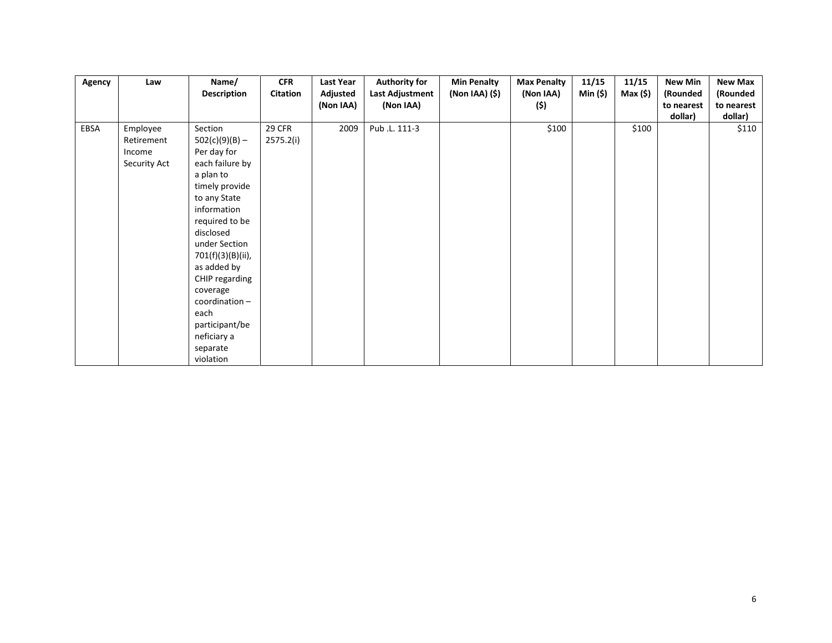| Agency | Law          | Name/              | <b>CFR</b>      | Last Year | <b>Authority for</b> | <b>Min Penalty</b> | <b>Max Penalty</b> | 11/15    | 11/15    | <b>New Min</b> | <b>New Max</b> |
|--------|--------------|--------------------|-----------------|-----------|----------------------|--------------------|--------------------|----------|----------|----------------|----------------|
|        |              | <b>Description</b> | <b>Citation</b> | Adjusted  | Last Adjustment      | (Non IAA) (\$)     | (Non IAA)          | Min (\$) | Max (\$) | (Rounded       | (Rounded       |
|        |              |                    |                 | (Non IAA) | (Non IAA)            |                    | (\$)               |          |          | to nearest     | to nearest     |
|        |              |                    |                 |           |                      |                    |                    |          |          | dollar)        | dollar)        |
| EBSA   | Employee     | Section            | 29 CFR          | 2009      | Pub.L. 111-3         |                    | \$100              |          | \$100    |                | \$110          |
|        | Retirement   | $502(c)(9)(B) -$   | 2575.2(i)       |           |                      |                    |                    |          |          |                |                |
|        | Income       | Per day for        |                 |           |                      |                    |                    |          |          |                |                |
|        | Security Act | each failure by    |                 |           |                      |                    |                    |          |          |                |                |
|        |              | a plan to          |                 |           |                      |                    |                    |          |          |                |                |
|        |              | timely provide     |                 |           |                      |                    |                    |          |          |                |                |
|        |              | to any State       |                 |           |                      |                    |                    |          |          |                |                |
|        |              | information        |                 |           |                      |                    |                    |          |          |                |                |
|        |              | required to be     |                 |           |                      |                    |                    |          |          |                |                |
|        |              | disclosed          |                 |           |                      |                    |                    |          |          |                |                |
|        |              | under Section      |                 |           |                      |                    |                    |          |          |                |                |
|        |              | 701(f)(3)(B)(ii),  |                 |           |                      |                    |                    |          |          |                |                |
|        |              | as added by        |                 |           |                      |                    |                    |          |          |                |                |
|        |              | CHIP regarding     |                 |           |                      |                    |                    |          |          |                |                |
|        |              | coverage           |                 |           |                      |                    |                    |          |          |                |                |
|        |              | coordination-      |                 |           |                      |                    |                    |          |          |                |                |
|        |              | each               |                 |           |                      |                    |                    |          |          |                |                |
|        |              | participant/be     |                 |           |                      |                    |                    |          |          |                |                |
|        |              | neficiary a        |                 |           |                      |                    |                    |          |          |                |                |
|        |              | separate           |                 |           |                      |                    |                    |          |          |                |                |
|        |              | violation          |                 |           |                      |                    |                    |          |          |                |                |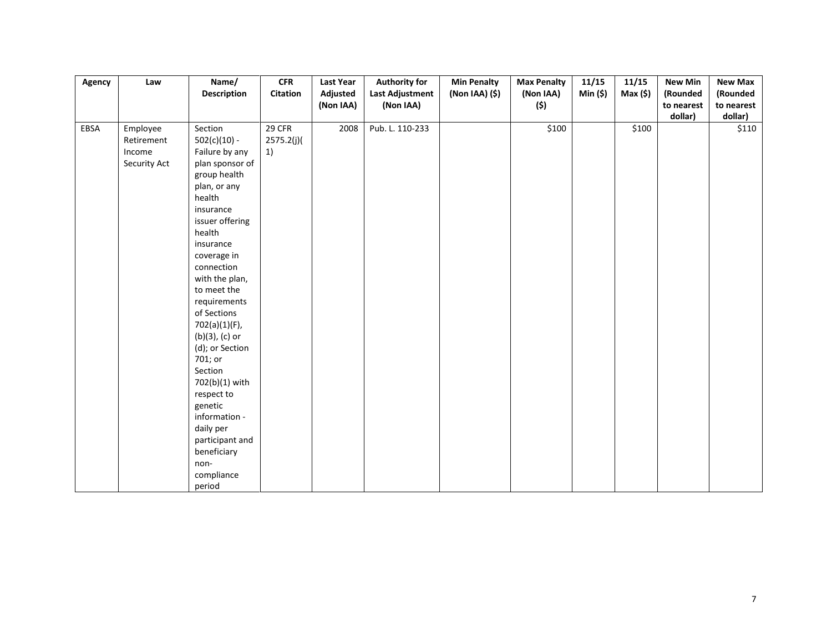| Agency | Law          | Name/               | <b>CFR</b> | <b>Last Year</b> | <b>Authority for</b>   | <b>Min Penalty</b> | <b>Max Penalty</b> | 11/15    | 11/15  | <b>New Min</b> | <b>New Max</b> |
|--------|--------------|---------------------|------------|------------------|------------------------|--------------------|--------------------|----------|--------|----------------|----------------|
|        |              | <b>Description</b>  | Citation   | Adjusted         | <b>Last Adjustment</b> | (Non IAA) (\$)     | (Non IAA)          | Min (\$) | Max(5) | (Rounded       | (Rounded       |
|        |              |                     |            | (Non IAA)        | (Non IAA)              |                    | (\$)               |          |        | to nearest     | to nearest     |
|        |              |                     |            |                  |                        |                    |                    |          |        | dollar)        | dollar)        |
| EBSA   | Employee     | Section             | 29 CFR     | 2008             | Pub. L. 110-233        |                    | \$100              |          | \$100  |                | \$110          |
|        | Retirement   | $502(c)(10) -$      | 2575.2(j)  |                  |                        |                    |                    |          |        |                |                |
|        | Income       | Failure by any      | 1)         |                  |                        |                    |                    |          |        |                |                |
|        | Security Act | plan sponsor of     |            |                  |                        |                    |                    |          |        |                |                |
|        |              | group health        |            |                  |                        |                    |                    |          |        |                |                |
|        |              | plan, or any        |            |                  |                        |                    |                    |          |        |                |                |
|        |              | health              |            |                  |                        |                    |                    |          |        |                |                |
|        |              | insurance           |            |                  |                        |                    |                    |          |        |                |                |
|        |              | issuer offering     |            |                  |                        |                    |                    |          |        |                |                |
|        |              | health              |            |                  |                        |                    |                    |          |        |                |                |
|        |              | insurance           |            |                  |                        |                    |                    |          |        |                |                |
|        |              | coverage in         |            |                  |                        |                    |                    |          |        |                |                |
|        |              | connection          |            |                  |                        |                    |                    |          |        |                |                |
|        |              | with the plan,      |            |                  |                        |                    |                    |          |        |                |                |
|        |              | to meet the         |            |                  |                        |                    |                    |          |        |                |                |
|        |              | requirements        |            |                  |                        |                    |                    |          |        |                |                |
|        |              | of Sections         |            |                  |                        |                    |                    |          |        |                |                |
|        |              | 702(a)(1)(F),       |            |                  |                        |                    |                    |          |        |                |                |
|        |              | $(b)(3)$ , $(c)$ or |            |                  |                        |                    |                    |          |        |                |                |
|        |              | (d); or Section     |            |                  |                        |                    |                    |          |        |                |                |
|        |              | 701; or             |            |                  |                        |                    |                    |          |        |                |                |
|        |              | Section             |            |                  |                        |                    |                    |          |        |                |                |
|        |              | 702(b)(1) with      |            |                  |                        |                    |                    |          |        |                |                |
|        |              | respect to          |            |                  |                        |                    |                    |          |        |                |                |
|        |              | genetic             |            |                  |                        |                    |                    |          |        |                |                |
|        |              | information -       |            |                  |                        |                    |                    |          |        |                |                |
|        |              | daily per           |            |                  |                        |                    |                    |          |        |                |                |
|        |              | participant and     |            |                  |                        |                    |                    |          |        |                |                |
|        |              | beneficiary         |            |                  |                        |                    |                    |          |        |                |                |
|        |              | non-                |            |                  |                        |                    |                    |          |        |                |                |
|        |              | compliance          |            |                  |                        |                    |                    |          |        |                |                |
|        |              | period              |            |                  |                        |                    |                    |          |        |                |                |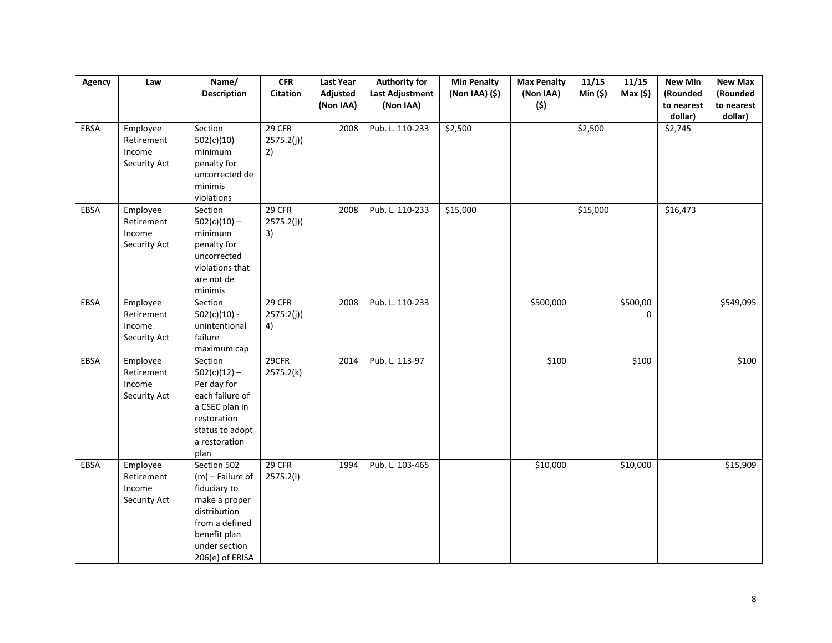| Agency | Law                                              | Name/<br><b>Description</b>                                                                                                                              | CFR<br><b>Citation</b>     | <b>Last Year</b><br>Adjusted | <b>Authority for</b><br>Last Adjustment | <b>Min Penalty</b><br>(Non IAA) (\$) | <b>Max Penalty</b><br>(Non IAA) | 11/15<br>Min(5) | 11/15<br>Max(5)      | <b>New Min</b><br>(Rounded | <b>New Max</b><br>(Rounded |
|--------|--------------------------------------------------|----------------------------------------------------------------------------------------------------------------------------------------------------------|----------------------------|------------------------------|-----------------------------------------|--------------------------------------|---------------------------------|-----------------|----------------------|----------------------------|----------------------------|
|        |                                                  |                                                                                                                                                          |                            | (Non IAA)                    | (Non IAA)                               |                                      | (\$)                            |                 |                      | to nearest<br>dollar)      | to nearest<br>dollar)      |
| EBSA   | Employee<br>Retirement<br>Income<br>Security Act | Section<br>502(c)(10)<br>minimum<br>penalty for<br>uncorrected de<br>minimis<br>violations                                                               | 29 CFR<br>2575.2(j)(<br>2) | 2008                         | Pub. L. 110-233                         | \$2,500                              |                                 | \$2,500         |                      | \$2,745                    |                            |
| EBSA   | Employee<br>Retirement<br>Income<br>Security Act | Section<br>$502(c)(10) -$<br>minimum<br>penalty for<br>uncorrected<br>violations that<br>are not de<br>minimis                                           | 29 CFR<br>2575.2(j)<br>3)  | 2008                         | Pub. L. 110-233                         | \$15,000                             |                                 | \$15,000        |                      | \$16,473                   |                            |
| EBSA   | Employee<br>Retirement<br>Income<br>Security Act | Section<br>$502(c)(10) -$<br>unintentional<br>failure<br>maximum cap                                                                                     | 29 CFR<br>2575.2(j)<br>4)  | 2008                         | Pub. L. 110-233                         |                                      | \$500,000                       |                 | \$500,00<br>$\Omega$ |                            | \$549,095                  |
| EBSA   | Employee<br>Retirement<br>Income<br>Security Act | Section<br>$502(c)(12) -$<br>Per day for<br>each failure of<br>a CSEC plan in<br>restoration<br>status to adopt<br>a restoration<br>plan                 | 29CFR<br>2575.2(k)         | 2014                         | Pub. L. 113-97                          |                                      | \$100                           |                 | \$100                |                            | \$100                      |
| EBSA   | Employee<br>Retirement<br>Income<br>Security Act | Section 502<br>$(m)$ – Failure of<br>fiduciary to<br>make a proper<br>distribution<br>from a defined<br>benefit plan<br>under section<br>206(e) of ERISA | 29 CFR<br>2575.2(l)        | 1994                         | Pub. L. 103-465                         |                                      | \$10,000                        |                 | \$10,000             |                            | \$15,909                   |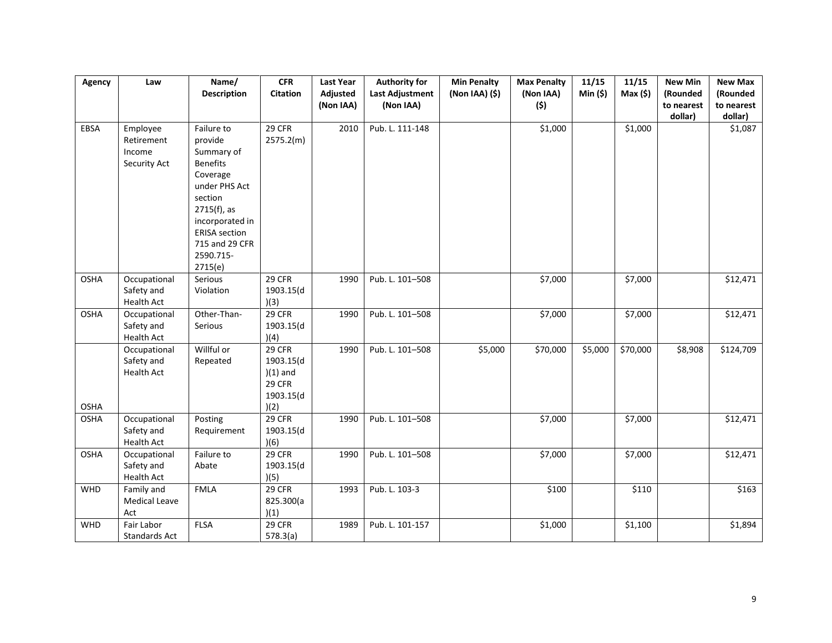| Agency      | Law                  | Name/                | CFR             | <b>Last Year</b> | <b>Authority for</b>   | <b>Min Penalty</b> | <b>Max Penalty</b> | 11/15   | 11/15               | <b>New Min</b> | <b>New Max</b> |
|-------------|----------------------|----------------------|-----------------|------------------|------------------------|--------------------|--------------------|---------|---------------------|----------------|----------------|
|             |                      | <b>Description</b>   | <b>Citation</b> | Adjusted         | <b>Last Adjustment</b> | (Non IAA) (\$)     | (Non IAA)          | Min(5)  | Max(5)              | (Rounded       | (Rounded       |
|             |                      |                      |                 | (Non IAA)        | (Non IAA)              |                    | (\$)               |         |                     | to nearest     | to nearest     |
|             |                      |                      |                 |                  |                        |                    |                    |         |                     | dollar)        | dollar)        |
| EBSA        | Employee             | Failure to           | 29 CFR          | 2010             | Pub. L. 111-148        |                    | \$1,000            |         | \$1,000             |                | \$1,087        |
|             | Retirement           | provide              | 2575.2(m)       |                  |                        |                    |                    |         |                     |                |                |
|             | Income               | Summary of           |                 |                  |                        |                    |                    |         |                     |                |                |
|             | Security Act         | <b>Benefits</b>      |                 |                  |                        |                    |                    |         |                     |                |                |
|             |                      | Coverage             |                 |                  |                        |                    |                    |         |                     |                |                |
|             |                      | under PHS Act        |                 |                  |                        |                    |                    |         |                     |                |                |
|             |                      | section              |                 |                  |                        |                    |                    |         |                     |                |                |
|             |                      | 2715(f), as          |                 |                  |                        |                    |                    |         |                     |                |                |
|             |                      | incorporated in      |                 |                  |                        |                    |                    |         |                     |                |                |
|             |                      | <b>ERISA</b> section |                 |                  |                        |                    |                    |         |                     |                |                |
|             |                      | 715 and 29 CFR       |                 |                  |                        |                    |                    |         |                     |                |                |
|             |                      | 2590.715-            |                 |                  |                        |                    |                    |         |                     |                |                |
|             |                      | 2715(e)              |                 |                  |                        |                    |                    |         |                     |                |                |
| <b>OSHA</b> | Occupational         | Serious              | 29 CFR          | 1990             | Pub. L. 101-508        |                    | \$7,000            |         | \$7,000             |                | \$12,471       |
|             | Safety and           | Violation            | 1903.15(d       |                  |                        |                    |                    |         |                     |                |                |
|             | <b>Health Act</b>    |                      | )(3)            |                  |                        |                    |                    |         |                     |                |                |
| <b>OSHA</b> | Occupational         | Other-Than-          | 29 CFR          | 1990             | Pub. L. 101-508        |                    | \$7,000            |         | \$7,000             |                | \$12,471       |
|             | Safety and           | Serious              | 1903.15(d       |                  |                        |                    |                    |         |                     |                |                |
|             | Health Act           |                      | )(4)            |                  |                        |                    |                    |         |                     |                |                |
|             | Occupational         | Willful or           | 29 CFR          | 1990             | Pub. L. 101-508        | \$5,000            | \$70,000           | \$5,000 | \$70,000            | \$8,908        | \$124,709      |
|             | Safety and           | Repeated             | 1903.15(d       |                  |                        |                    |                    |         |                     |                |                |
|             | <b>Health Act</b>    |                      | $(1)$ and       |                  |                        |                    |                    |         |                     |                |                |
|             |                      |                      | <b>29 CFR</b>   |                  |                        |                    |                    |         |                     |                |                |
|             |                      |                      | 1903.15(d       |                  |                        |                    |                    |         |                     |                |                |
| <b>OSHA</b> |                      |                      | )(2)            |                  |                        |                    |                    |         |                     |                |                |
| <b>OSHA</b> | Occupational         | Posting              | 29 CFR          | 1990             | Pub. L. 101-508        |                    | \$7,000            |         | \$7,000             |                | \$12,471       |
|             | Safety and           | Requirement          | 1903.15(d       |                  |                        |                    |                    |         |                     |                |                |
|             | Health Act           |                      | )(6)            |                  |                        |                    |                    |         |                     |                |                |
| <b>OSHA</b> | Occupational         | Failure to           | 29 CFR          | 1990             | Pub. L. 101-508        |                    | \$7,000            |         | $\overline{$}7,000$ |                | \$12,471       |
|             | Safety and           | Abate                | 1903.15(d       |                  |                        |                    |                    |         |                     |                |                |
|             | <b>Health Act</b>    |                      | )(5)            |                  |                        |                    |                    |         |                     |                |                |
| WHD         | Family and           | <b>FMLA</b>          | 29 CFR          | 1993             | Pub. L. 103-3          |                    | \$100              |         | \$110               |                | \$163          |
|             | <b>Medical Leave</b> |                      | 825.300(a       |                  |                        |                    |                    |         |                     |                |                |
|             | Act                  |                      | )(1)            |                  |                        |                    |                    |         |                     |                |                |
| WHD         | Fair Labor           | <b>FLSA</b>          | 29 CFR          | 1989             | Pub. L. 101-157        |                    | \$1,000            |         | \$1,100             |                | \$1,894        |
|             | Standards Act        |                      | 578.3(a)        |                  |                        |                    |                    |         |                     |                |                |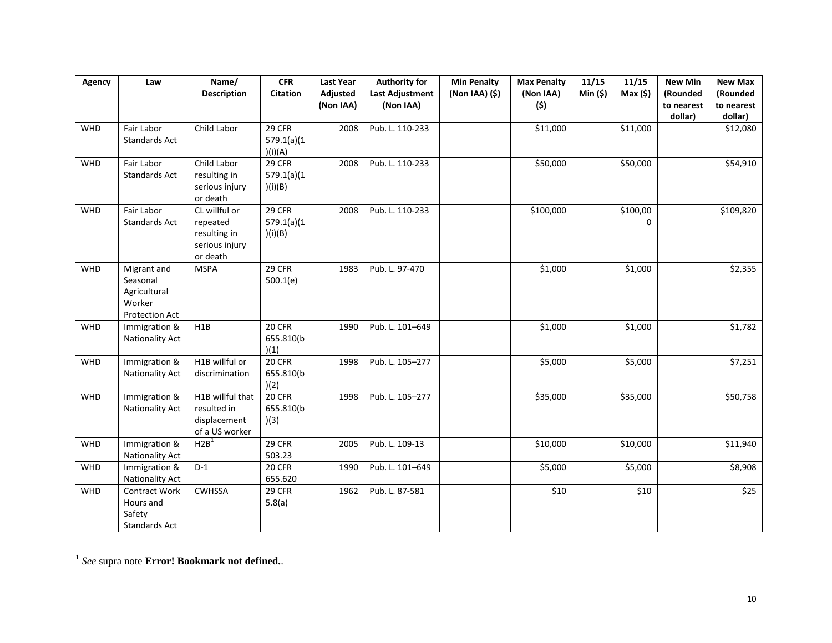| Agency     | Law                                                                        | Name/<br><b>Description</b>                                             | CFR<br>Citation                  | <b>Last Year</b><br>Adjusted<br>(Non IAA) | <b>Authority for</b><br><b>Last Adjustment</b><br>(Non IAA) | <b>Min Penalty</b><br>(Non IAA) (\$) | <b>Max Penalty</b><br>(Non IAA)<br>(\$) | 11/15<br>Min(5) | 11/15<br>Max(5)      | <b>New Min</b><br>(Rounded<br>to nearest<br>dollar) | <b>New Max</b><br>(Rounded<br>to nearest<br>dollar) |
|------------|----------------------------------------------------------------------------|-------------------------------------------------------------------------|----------------------------------|-------------------------------------------|-------------------------------------------------------------|--------------------------------------|-----------------------------------------|-----------------|----------------------|-----------------------------------------------------|-----------------------------------------------------|
| <b>WHD</b> | Fair Labor<br>Standards Act                                                | Child Labor                                                             | 29 CFR<br>579.1(a)(1)<br>)(i)(A) | 2008                                      | Pub. L. 110-233                                             |                                      | \$11,000                                |                 | \$11,000             |                                                     | \$12,080                                            |
| <b>WHD</b> | Fair Labor<br>Standards Act                                                | Child Labor<br>resulting in<br>serious injury<br>or death               | 29 CFR<br>579.1(a)(1)<br>)(i)(B) | 2008                                      | Pub. L. 110-233                                             |                                      | \$50,000                                |                 | \$50,000             |                                                     | \$54,910                                            |
| <b>WHD</b> | Fair Labor<br>Standards Act                                                | CL willful or<br>repeated<br>resulting in<br>serious injury<br>or death | 29 CFR<br>579.1(a)(1)<br>)(i)(B) | 2008                                      | Pub. L. 110-233                                             |                                      | \$100,000                               |                 | \$100,00<br>$\Omega$ |                                                     | \$109,820                                           |
| <b>WHD</b> | Migrant and<br>Seasonal<br>Agricultural<br>Worker<br><b>Protection Act</b> | <b>MSPA</b>                                                             | 29 CFR<br>500.1(e)               | 1983                                      | Pub. L. 97-470                                              |                                      | \$1,000                                 |                 | \$1,000              |                                                     | \$2,355                                             |
| WHD        | Immigration &<br>Nationality Act                                           | H1B                                                                     | 20 CFR<br>655.810(b)<br>)(1)     | 1990                                      | Pub. L. 101-649                                             |                                      | \$1,000                                 |                 | \$1,000              |                                                     | \$1,782                                             |
| WHD        | Immigration &<br>Nationality Act                                           | H1B willful or<br>discrimination                                        | 20 CFR<br>655.810(b<br>)(2)      | 1998                                      | Pub. L. 105-277                                             |                                      | \$5,000                                 |                 | \$5,000              |                                                     | \$7,251                                             |
| WHD        | Immigration &<br>Nationality Act                                           | H1B willful that<br>resulted in<br>displacement<br>of a US worker       | 20 CFR<br>655.810(b)<br>)(3)     | 1998                                      | Pub. L. 105-277                                             |                                      | \$35,000                                |                 | \$35,000             |                                                     | \$50,758                                            |
| WHD        | Immigration &<br>Nationality Act                                           | H2B <sup>1</sup>                                                        | 29 CFR<br>503.23                 | 2005                                      | Pub. L. 109-13                                              |                                      | \$10,000                                |                 | \$10,000             |                                                     | \$11,940                                            |
| WHD        | Immigration &<br>Nationality Act                                           | $D-1$                                                                   | 20 CFR<br>655.620                | 1990                                      | Pub. L. 101-649                                             |                                      | \$5,000                                 |                 | \$5,000              |                                                     | \$8,908                                             |
| WHD        | <b>Contract Work</b><br>Hours and<br>Safety<br>Standards Act               | <b>CWHSSA</b>                                                           | 29 CFR<br>5.8(a)                 | 1962                                      | Pub. L. 87-581                                              |                                      | \$10                                    |                 | \$10                 |                                                     | \$25                                                |

 1 *See* supra note **Error! Bookmark not defined.**.

 $\overline{\phantom{0}}$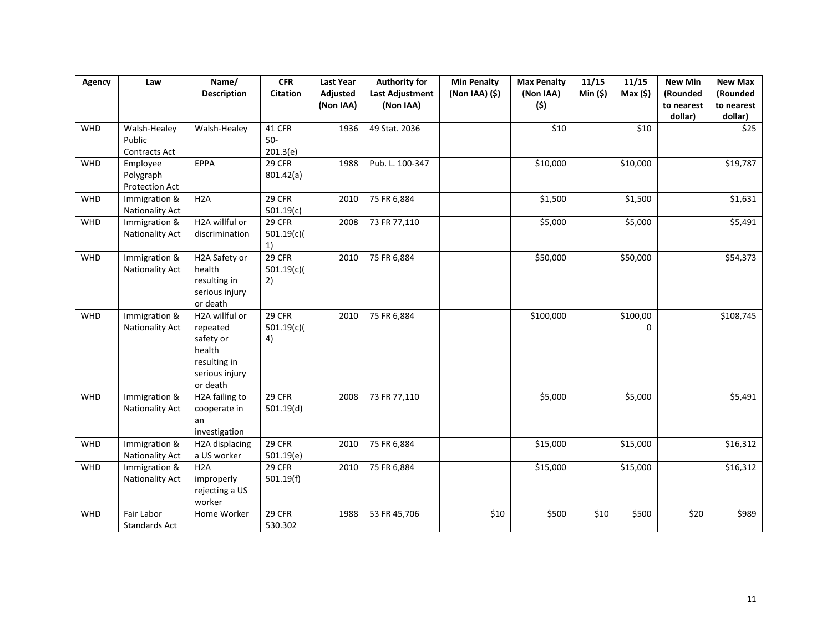| Agency     | Law                                     | Name/<br><b>Description</b>                                                                     | <b>CFR</b><br><b>Citation</b> | <b>Last Year</b><br>Adjusted<br>(Non IAA) | <b>Authority for</b><br><b>Last Adjustment</b><br>(Non IAA) | <b>Min Penalty</b><br>(Non IAA) (\$) | <b>Max Penalty</b><br>(Non IAA)<br>(\$) | 11/15<br>Min(5) | 11/15<br>Max(5) | <b>New Min</b><br>(Rounded<br>to nearest<br>dollar) | <b>New Max</b><br>(Rounded<br>to nearest<br>dollar) |
|------------|-----------------------------------------|-------------------------------------------------------------------------------------------------|-------------------------------|-------------------------------------------|-------------------------------------------------------------|--------------------------------------|-----------------------------------------|-----------------|-----------------|-----------------------------------------------------|-----------------------------------------------------|
| <b>WHD</b> | Walsh-Healey<br>Public<br>Contracts Act | Walsh-Healey                                                                                    | 41 CFR<br>$50-$<br>201.3(e)   | 1936                                      | 49 Stat. 2036                                               |                                      | \$10                                    |                 | \$10            |                                                     | \$25                                                |
| WHD        | Employee<br>Polygraph<br>Protection Act | EPPA                                                                                            | 29 CFR<br>801.42(a)           | 1988                                      | Pub. L. 100-347                                             |                                      | \$10,000                                |                 | \$10,000        |                                                     | \$19,787                                            |
| <b>WHD</b> | Immigration &<br>Nationality Act        | H <sub>2</sub> A                                                                                | 29 CFR<br>501.19(c)           | 2010                                      | 75 FR 6,884                                                 |                                      | \$1,500                                 |                 | \$1,500         |                                                     | \$1,631                                             |
| WHD        | Immigration &<br><b>Nationality Act</b> | H2A willful or<br>discrimination                                                                | 29 CFR<br>501.19(c)<br>1)     | 2008                                      | 73 FR 77,110                                                |                                      | \$5,000                                 |                 | \$5,000         |                                                     | \$5,491                                             |
| WHD        | Immigration &<br><b>Nationality Act</b> | H2A Safety or<br>health<br>resulting in<br>serious injury<br>or death                           | 29 CFR<br>501.19(c)<br>2)     | 2010                                      | 75 FR 6,884                                                 |                                      | \$50,000                                |                 | \$50,000        |                                                     | \$54,373                                            |
| WHD        | Immigration &<br>Nationality Act        | H2A willful or<br>repeated<br>safety or<br>health<br>resulting in<br>serious injury<br>or death | 29 CFR<br>501.19(c)<br>4)     | 2010                                      | 75 FR 6,884                                                 |                                      | \$100,000                               |                 | \$100,00<br>0   |                                                     | \$108,745                                           |
| <b>WHD</b> | Immigration &<br>Nationality Act        | H2A failing to<br>cooperate in<br>an<br>investigation                                           | 29 CFR<br>501.19(d)           | 2008                                      | 73 FR 77,110                                                |                                      | \$5,000                                 |                 | \$5,000         |                                                     | \$5,491                                             |
| WHD        | Immigration &<br><b>Nationality Act</b> | H2A displacing<br>a US worker                                                                   | 29 CFR<br>501.19(e)           | 2010                                      | 75 FR 6,884                                                 |                                      | \$15,000                                |                 | \$15,000        |                                                     | \$16,312                                            |
| WHD        | Immigration &<br>Nationality Act        | H2A<br>improperly<br>rejecting a US<br>worker                                                   | 29 CFR<br>501.19(f)           | 2010                                      | 75 FR 6,884                                                 |                                      | \$15,000                                |                 | \$15,000        |                                                     | \$16,312                                            |
| WHD        | Fair Labor<br>Standards Act             | Home Worker                                                                                     | 29 CFR<br>530.302             | 1988                                      | 53 FR 45,706                                                | \$10                                 | \$500                                   | \$10            | \$500           | \$20                                                | \$989                                               |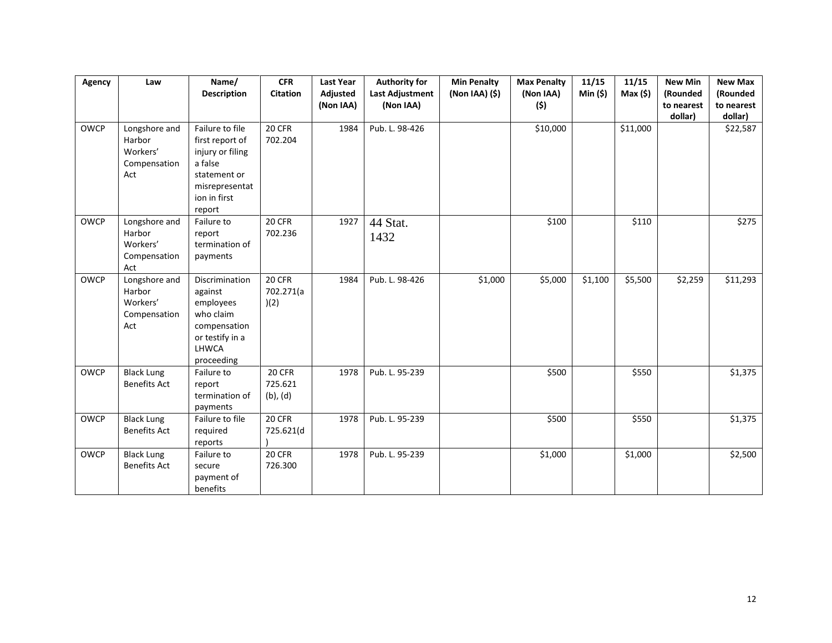| Agency      | Law                                      | Name/                              | <b>CFR</b>               | <b>Last Year</b> | <b>Authority for</b> | <b>Min Penalty</b> | <b>Max Penalty</b> | 11/15   | 11/15    | <b>New Min</b> | <b>New Max</b> |
|-------------|------------------------------------------|------------------------------------|--------------------------|------------------|----------------------|--------------------|--------------------|---------|----------|----------------|----------------|
|             |                                          | <b>Description</b>                 | <b>Citation</b>          | Adjusted         | Last Adjustment      | (Non IAA) (\$)     | (Non IAA)          | Min(5)  | Max(5)   | (Rounded       | (Rounded       |
|             |                                          |                                    |                          | (Non IAA)        | (Non IAA)            |                    | (\$)               |         |          | to nearest     | to nearest     |
|             |                                          |                                    |                          |                  |                      |                    |                    |         |          | dollar)        | dollar)        |
| OWCP        | Longshore and<br>Harbor                  | Failure to file<br>first report of | 20 CFR<br>702.204        | 1984             | Pub. L. 98-426       |                    | \$10,000           |         | \$11,000 |                | \$22,587       |
|             | Workers'<br>Compensation                 | injury or filing<br>a false        |                          |                  |                      |                    |                    |         |          |                |                |
|             | Act                                      | statement or                       |                          |                  |                      |                    |                    |         |          |                |                |
|             |                                          | misrepresentat<br>ion in first     |                          |                  |                      |                    |                    |         |          |                |                |
|             |                                          | report                             |                          |                  |                      |                    |                    |         |          |                |                |
| OWCP        | Longshore and<br>Harbor                  | Failure to<br>report               | 20 CFR<br>702.236        | 1927             | 44 Stat.             |                    | \$100              |         | \$110    |                | \$275          |
|             | Workers'                                 | termination of                     |                          |                  | 1432                 |                    |                    |         |          |                |                |
|             | Compensation<br>Act                      | payments                           |                          |                  |                      |                    |                    |         |          |                |                |
| <b>OWCP</b> | Longshore and                            | Discrimination                     | 20 CFR                   | 1984             | Pub. L. 98-426       | \$1,000            | \$5,000            | \$1,100 | \$5,500  | \$2,259        | \$11,293       |
|             | Harbor<br>Workers'                       | against<br>employees               | 702.271(a<br>)(2)        |                  |                      |                    |                    |         |          |                |                |
|             | Compensation                             | who claim                          |                          |                  |                      |                    |                    |         |          |                |                |
|             | Act                                      | compensation<br>or testify in a    |                          |                  |                      |                    |                    |         |          |                |                |
|             |                                          | LHWCA<br>proceeding                |                          |                  |                      |                    |                    |         |          |                |                |
| OWCP        | <b>Black Lung</b>                        | Failure to                         | 20 CFR                   | 1978             | Pub. L. 95-239       |                    | \$500              |         | \$550    |                | \$1,375        |
|             | <b>Benefits Act</b>                      | report<br>termination of           | 725.621<br>$(b)$ , $(d)$ |                  |                      |                    |                    |         |          |                |                |
|             |                                          | payments                           |                          |                  |                      |                    |                    |         |          |                |                |
| <b>OWCP</b> | <b>Black Lung</b><br><b>Benefits Act</b> | Failure to file<br>required        | 20 CFR<br>725.621(d      | 1978             | Pub. L. 95-239       |                    | \$500              |         | \$550    |                | \$1,375        |
|             |                                          | reports                            |                          |                  |                      |                    |                    |         |          |                |                |
| <b>OWCP</b> | <b>Black Lung</b><br><b>Benefits Act</b> | Failure to<br>secure               | <b>20 CFR</b><br>726.300 | 1978             | Pub. L. 95-239       |                    | \$1,000            |         | \$1,000  |                | \$2,500        |
|             |                                          | payment of                         |                          |                  |                      |                    |                    |         |          |                |                |
|             |                                          | benefits                           |                          |                  |                      |                    |                    |         |          |                |                |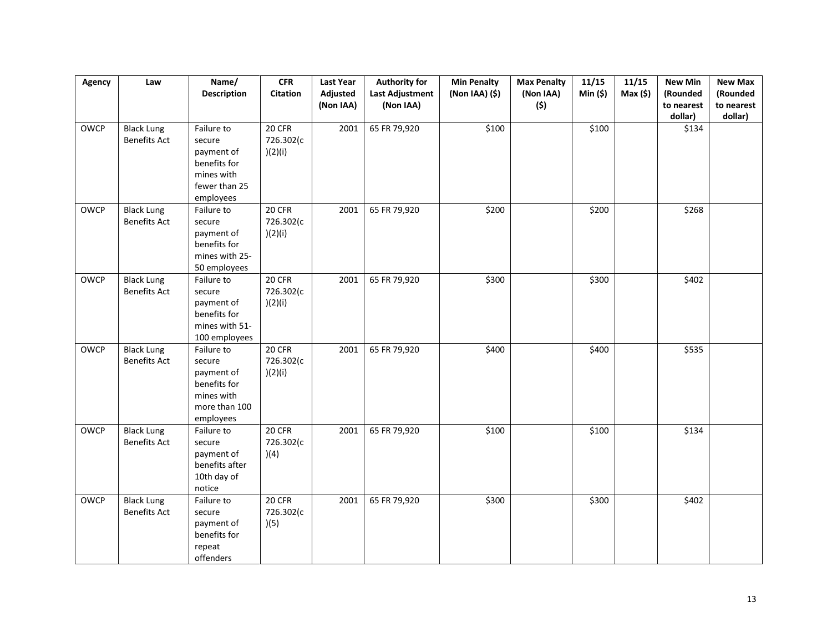| Agency      | Law                                      | Name/<br><b>Description</b>                                                                    | <b>CFR</b><br>Citation         | <b>Last Year</b><br>Adjusted | <b>Authority for</b><br><b>Last Adjustment</b> | <b>Min Penalty</b><br>(Non IAA) (\$) | <b>Max Penalty</b><br>(Non IAA) | 11/15<br>Min (\$) | 11/15<br>Max(5) | <b>New Min</b><br>(Rounded | <b>New Max</b><br>(Rounded |
|-------------|------------------------------------------|------------------------------------------------------------------------------------------------|--------------------------------|------------------------------|------------------------------------------------|--------------------------------------|---------------------------------|-------------------|-----------------|----------------------------|----------------------------|
|             |                                          |                                                                                                |                                | (Non IAA)                    | (Non IAA)                                      |                                      | (\$)                            |                   |                 | to nearest<br>dollar)      | to nearest<br>dollar)      |
| <b>OWCP</b> | <b>Black Lung</b><br><b>Benefits Act</b> | Failure to<br>secure<br>payment of<br>benefits for<br>mines with<br>fewer than 25<br>employees | 20 CFR<br>726.302(c<br>)(2)(i) | 2001                         | 65 FR 79,920                                   | \$100                                |                                 | \$100             |                 | \$134                      |                            |
| <b>OWCP</b> | <b>Black Lung</b><br><b>Benefits Act</b> | Failure to<br>secure<br>payment of<br>benefits for<br>mines with 25-<br>50 employees           | 20 CFR<br>726.302(c<br>)(2)(i) | 2001                         | 65 FR 79,920                                   | \$200                                |                                 | \$200             |                 | \$268                      |                            |
| OWCP        | <b>Black Lung</b><br><b>Benefits Act</b> | Failure to<br>secure<br>payment of<br>benefits for<br>mines with 51-<br>100 employees          | 20 CFR<br>726.302(c<br>)(2)(i) | 2001                         | 65 FR 79,920                                   | \$300                                |                                 | \$300             |                 | \$402                      |                            |
| <b>OWCP</b> | <b>Black Lung</b><br><b>Benefits Act</b> | Failure to<br>secure<br>payment of<br>benefits for<br>mines with<br>more than 100<br>employees | 20 CFR<br>726.302(c<br>)(2)(i) | 2001                         | 65 FR 79,920                                   | \$400                                |                                 | \$400             |                 | \$535                      |                            |
| <b>OWCP</b> | <b>Black Lung</b><br><b>Benefits Act</b> | Failure to<br>secure<br>payment of<br>benefits after<br>10th day of<br>notice                  | 20 CFR<br>726.302(c<br>)(4)    | 2001                         | 65 FR 79,920                                   | \$100                                |                                 | \$100             |                 | \$134                      |                            |
| <b>OWCP</b> | <b>Black Lung</b><br><b>Benefits Act</b> | Failure to<br>secure<br>payment of<br>benefits for<br>repeat<br>offenders                      | 20 CFR<br>726.302(c<br>)(5)    | 2001                         | 65 FR 79,920                                   | \$300                                |                                 | \$300             |                 | \$402                      |                            |